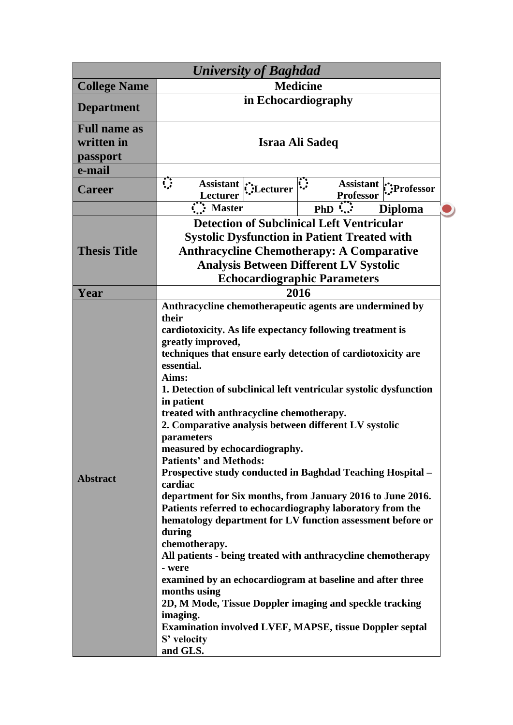| <b>University of Baghdad</b>                  |                                                                                                                                                                                                                                                                                                                                                                                                                                                                                                                                                                                                                                                                                                                                                                                                                                                                                                                                                                                                                                                                                                                               |                                            |  |
|-----------------------------------------------|-------------------------------------------------------------------------------------------------------------------------------------------------------------------------------------------------------------------------------------------------------------------------------------------------------------------------------------------------------------------------------------------------------------------------------------------------------------------------------------------------------------------------------------------------------------------------------------------------------------------------------------------------------------------------------------------------------------------------------------------------------------------------------------------------------------------------------------------------------------------------------------------------------------------------------------------------------------------------------------------------------------------------------------------------------------------------------------------------------------------------------|--------------------------------------------|--|
| <b>College Name</b>                           | <b>Medicine</b>                                                                                                                                                                                                                                                                                                                                                                                                                                                                                                                                                                                                                                                                                                                                                                                                                                                                                                                                                                                                                                                                                                               |                                            |  |
| <b>Department</b>                             | in Echocardiography                                                                                                                                                                                                                                                                                                                                                                                                                                                                                                                                                                                                                                                                                                                                                                                                                                                                                                                                                                                                                                                                                                           |                                            |  |
| <b>Full name as</b><br>written in<br>passport | <b>Israa Ali Sadeq</b>                                                                                                                                                                                                                                                                                                                                                                                                                                                                                                                                                                                                                                                                                                                                                                                                                                                                                                                                                                                                                                                                                                        |                                            |  |
| e-mail                                        |                                                                                                                                                                                                                                                                                                                                                                                                                                                                                                                                                                                                                                                                                                                                                                                                                                                                                                                                                                                                                                                                                                                               |                                            |  |
| <b>Career</b>                                 | ़<br>Assistant $\sum_{\text{L} \text{ of } \text{trunc}}$<br>Lecturer                                                                                                                                                                                                                                                                                                                                                                                                                                                                                                                                                                                                                                                                                                                                                                                                                                                                                                                                                                                                                                                         | Assistant :: Professor<br><b>Professor</b> |  |
|                                               | $\overrightarrow{N}$ : Master                                                                                                                                                                                                                                                                                                                                                                                                                                                                                                                                                                                                                                                                                                                                                                                                                                                                                                                                                                                                                                                                                                 | $PhD$<br><b>Diploma</b>                    |  |
| <b>Thesis Title</b>                           | <b>Detection of Subclinical Left Ventricular</b><br><b>Systolic Dysfunction in Patient Treated with</b><br><b>Anthracycline Chemotherapy: A Comparative</b><br><b>Analysis Between Different LV Systolic</b><br><b>Echocardiographic Parameters</b>                                                                                                                                                                                                                                                                                                                                                                                                                                                                                                                                                                                                                                                                                                                                                                                                                                                                           |                                            |  |
| Year                                          |                                                                                                                                                                                                                                                                                                                                                                                                                                                                                                                                                                                                                                                                                                                                                                                                                                                                                                                                                                                                                                                                                                                               |                                            |  |
| <b>Abstract</b>                               | 2016<br>Anthracycline chemotherapeutic agents are undermined by<br>their<br>cardiotoxicity. As life expectancy following treatment is<br>greatly improved,<br>techniques that ensure early detection of cardiotoxicity are<br>essential.<br>Aims:<br>1. Detection of subclinical left ventricular systolic dysfunction<br>in patient<br>treated with anthracycline chemotherapy.<br>2. Comparative analysis between different LV systolic<br>parameters<br>measured by echocardiography.<br><b>Patients' and Methods:</b><br><b>Prospective study conducted in Baghdad Teaching Hospital –</b><br>cardiac<br>department for Six months, from January 2016 to June 2016.<br>Patients referred to echocardiography laboratory from the<br>hematology department for LV function assessment before or<br>during<br>chemotherapy.<br>All patients - being treated with anthracycline chemotherapy<br>- were<br>examined by an echocardiogram at baseline and after three<br>months using<br>2D, M Mode, Tissue Doppler imaging and speckle tracking<br>imaging.<br><b>Examination involved LVEF, MAPSE, tissue Doppler septal</b> |                                            |  |